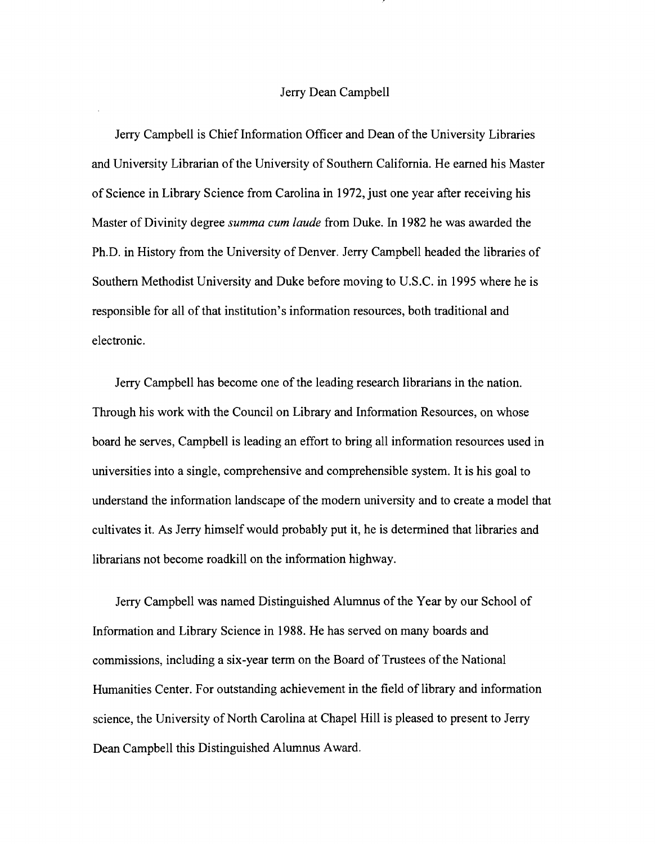## Jerry Dean Campbell

Jerry Campbell is Chief Information Officer and Dean of the University Libraries and University Librarian of the University of Southern California. He earned his Master of Science in Library Science from Carolina in 1972, just one year after receiving his Master of Divinity degree *summa cum laude* from Duke. In 1982 he was awarded the Ph.D. in History from the University of Denver. Jerry Campbell headed the libraries of Southern Methodist University and Duke before moving to U.S.C. in 1995 where he is responsible for all of that institution's information resources, both traditional and electronic.

Jerry Campbell has become one of the leading research librarians in the nation. Through his work with the Council on Library and Information Resources, on whose board he serves, Campbell is leading an effort to bring all information resources used in universities into a single, comprehensive and comprehensible system. It is his goal to understand the information landscape of the modern university and to create a model that cultivates it. As Jerry himself would probably put it, he is determined that libraries and librarians not become roadkill on the information highway.

Jerry Campbell was named Distinguished Alumnus of the Year by our School of Information and Library Science in 1988. He has served on many boards and commissions, including a six-year term on the Board of Trustees of the National Humanities Center. For outstanding achievement in the field of library and information science, the University of North Carolina at Chapel Hill is pleased to present to Jerry Dean Campbell this Distinguished Alumnus Award.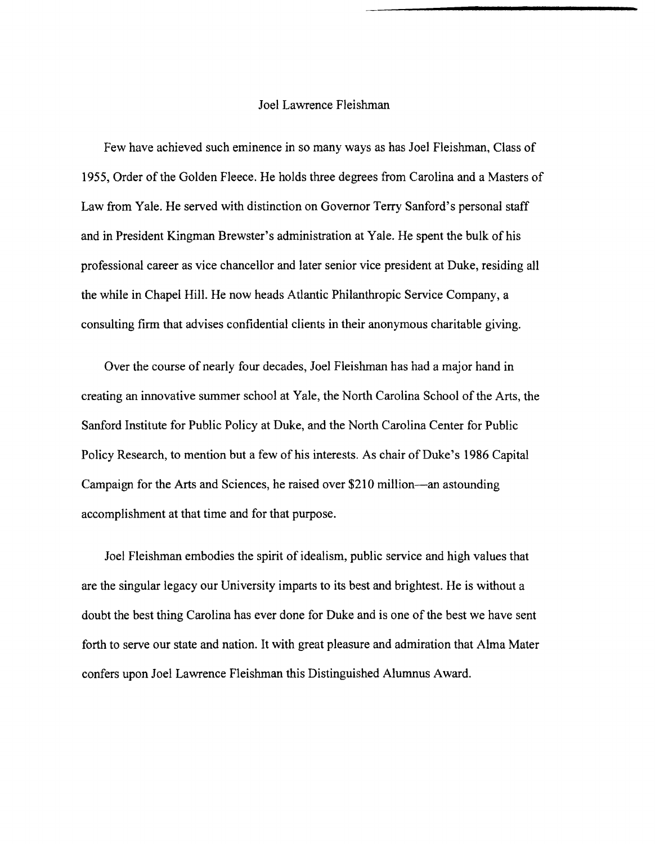### Joel Lawrence Fleishman

Few have achieved such eminence in so many ways as has Joel Fleishman, Class of 1955, Order of the Golden Fleece. He holds three degrees from Carolina and a Masters of Law from Yale. He served with distinction on Governor Terry Sanford's personal staff and in President Kingman Brewster's administration at Yale. He spent the bulk of his professional career as vice chancellor and later senior vice president at Duke, residing all the while in Chapel Hill. He now heads Atlantic Philanthropic Service Company, a consulting firm that advises confidential clients in their anonymous charitable giving.

Over the course of nearly four decades, Joel Fleishman has had a major hand in creating an innovative summer school at Yale, the North Carolina School of the Arts, the Sanford Institute for Public Policy at Duke, and the North Carolina Center for Public Policy Research, to mention but a few of his interests. As chair of Duke's 1986 Capital Campaign for the Arts and Sciences, he raised over \$210 million-an astounding accomplishment at that time and for that purpose.

Joel Fleishman embodies the spirit of idealism, public service and high values that are the singular legacy our University imparts to its best and brightest. He is without a doubt the best thing Carolina has ever done for Duke and is one of the best we have sent forth to serve our state and nation. It with great pleasure and admiration that Alma Mater confers upon Joel Lawrence Fleishman this Distinguished Alumnus Award.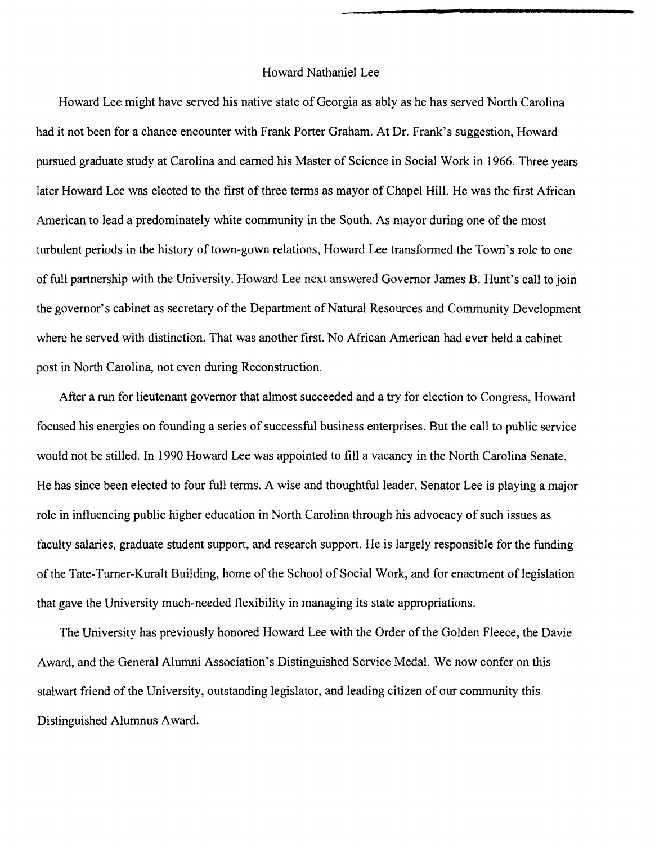## Howard Nathaniel Lee

Howard Lee might have served his native state of Georgia as ably as he has served North Carolina had it not been for a chance encounter with Frank Porter Graham. At Dr. Frank's suggestion, Howard pursued graduate study at Carolina and earned his Master of Science in Social Work in 1966. Three years later Howard Lee was elected to the first of three terms as mayor of Chapel Hill. He was the first African American to lead a predominately white community in the South. As mayor during one of the most turbulent periods in the history of town-gown relations, Howard Lee transformed the Town's role to one of full partnership with the University. Howard Lee next answered Governor James B. Hunt's call to join the governor's cabinet as secretary of the Department of Natural Resources and Community Development where he served with distinction. That was another first. No African American had ever held a cabinet post in North Carolina, not even during Reconstruction.

After a run for lieutenant governor that almost succeeded and a try for election to Congress, Howard focused his energies on founding a series of successful business enterprises. But the call to public service would not be stilled. In 1990 Howard Lee was appointed to fill a vacancy in the North Carolina Senate. He has since been elected to four full terms. A wise and thoughtful leader, Senator Lee is playing a major role in influencing public higher education in North Carolina through his advocacy of such issues as faculty salaries, graduate student support, and research support. He is largely responsible for the funding of the Tate-Turner-Kuralt Building, home of the School of Social Work, and for enactment of legislation that gave the University much-needed flexibility in managing its state appropriations.

The University has previously honored Howard Lee with the Order of the Golden Fleece, the Davie Award, and the General Alumni Association's Distinguished Service Medal. We now confer on this stalwart friend of the University, outstanding legislator, and leading citizen of our community this Distinguished Alumnus Award.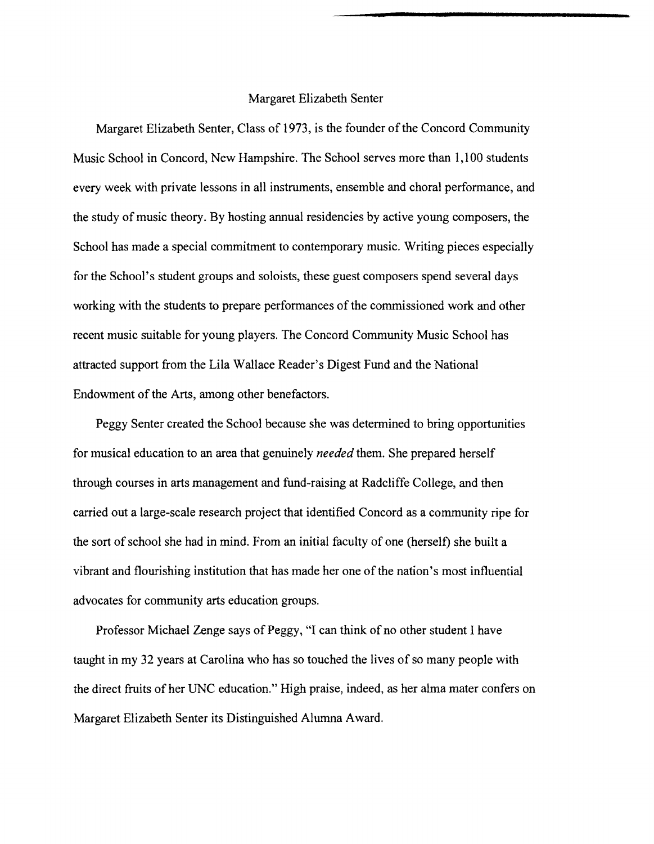#### Margaret Elizabeth Senter

Margaret Elizabeth Senter, Class of 1973, is the founder of the Concord Community Music School in Concord, New Hampshire. The School serves more than 1,100 students every week with private lessons in all instruments, ensemble and choral performance, and the study of music theory. By hosting annual residencies by active young composers, the School has made a special commitment to contemporary music. Writing pieces especially for the School's student groups and soloists, these guest composers spend several days working with the students to prepare performances of the commissioned work and other recent music suitable for young players. The Concord Community Music School has attracted support from the Lila Wallace Reader's Digest Fund and the National Endowment of the Arts, among other benefactors.

Peggy Senter created the School because she was determined to bring opportunities for musical education to an area that genuinely *needed* them. She prepared herself through courses in arts management and fund-raising at Radcliffe College, and then carried out a large-scale research project that identified Concord as a community ripe for the sort ofschool she had in mind. From an initial faculty of one (herself) she built a vibrant and flourishing institution that has made her one of the nation's most influential advocates for community arts education groups.

Professor Michael Zenge says of Peggy, "I can think of no other student I have taught in my 32 years at Carolina who has so touched the lives of so many people with the direct fruits of her UNC education." High praise, indeed, as her alma mater confers on Margaret Elizabeth Senter its Distinguished Alumna Award.